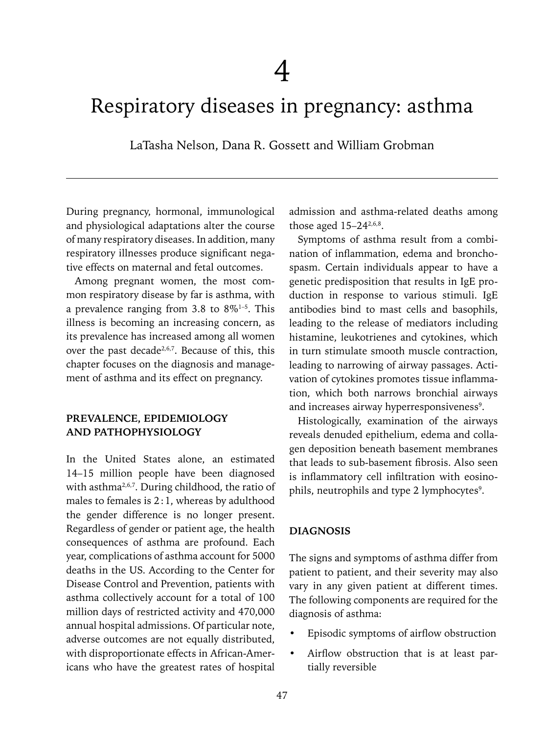# Respiratory diseases in pregnancy: asthma

LaTasha Nelson, Dana R. Gossett and William Grobman

During pregnancy, hormonal, immunological and physiological adaptations alter the course of many respiratory diseases. In addition, many respiratory illnesses produce significant negative effects on maternal and fetal outcomes.

Among pregnant women, the most common respiratory disease by far is asthma, with a prevalence ranging from 3.8 to  $8\%$ <sup>1-5</sup>. This illness is becoming an increasing concern, as its prevalence has increased among all women over the past decade<sup>2,6,7</sup>. Because of this, this chapter focuses on the diagnosis and management of asthma and its effect on pregnancy.

## **PREVALENCE, EPIDEMIOLOGY AND PATHOPHYSIOLOGY**

In the United States alone, an estimated 14–15 million people have been diagnosed with asthma<sup>2,6,7</sup>. During childhood, the ratio of males to females is 2:1, whereas by adulthood the gender difference is no longer present. Regardless of gender or patient age, the health consequences of asthma are profound. Each year, complications of asthma account for 5000 deaths in the US. According to the Center for Disease Control and Prevention, patients with asthma collectively account for a total of 100 million days of restricted activity and 470,000 annual hospital admissions. Of particular note, adverse outcomes are not equally distributed, with disproportionate effects in African-Americans who have the greatest rates of hospital

admission and asthma-related deaths among those aged  $15-24^{2,6,8}$ .

Symptoms of asthma result from a combination of inflammation, edema and bronchospasm. Certain individuals appear to have a genetic predisposition that results in IgE production in response to various stimuli. IgE antibodies bind to mast cells and basophils, leading to the release of mediators including histamine, leukotrienes and cytokines, which in turn stimulate smooth muscle contraction, leading to narrowing of airway passages. Activation of cytokines promotes tissue inflammation, which both narrows bronchial airways and increases airway hyperresponsiveness<sup>9</sup>.

Histologically, examination of the airways reveals denuded epithelium, edema and collagen deposition beneath basement membranes that leads to sub-basement fibrosis. Also seen is inflammatory cell infiltration with eosinophils, neutrophils and type 2 lymphocytes<sup>9</sup>.

#### **DIAGNOSIS**

The signs and symptoms of asthma differ from patient to patient, and their severity may also vary in any given patient at different times. The following components are required for the diagnosis of asthma:

- Episodic symptoms of airflow obstruction
- Airflow obstruction that is at least partially reversible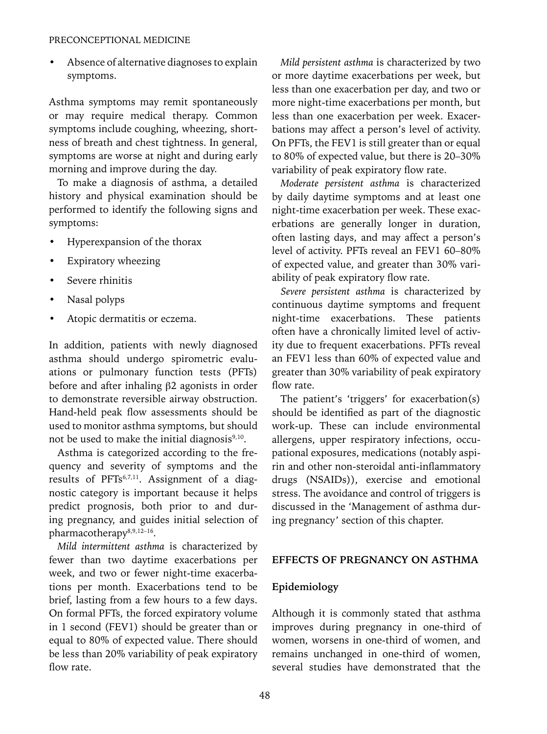#### PRECONCEPTIONAL MEDICINE

• Absence of alternative diagnoses to explain symptoms.

Asthma symptoms may remit spontaneously or may require medical therapy. Common symptoms include coughing, wheezing, shortness of breath and chest tightness. In general, symptoms are worse at night and during early morning and improve during the day.

To make a diagnosis of asthma, a detailed history and physical examination should be performed to identify the following signs and symptoms:

- Hyperexpansion of the thorax
- Expiratory wheezing
- Severe rhinitis
- Nasal polyps
- Atopic dermatitis or eczema.

In addition, patients with newly diagnosed asthma should undergo spirometric evaluations or pulmonary function tests (PFTs) before and after inhaling β2 agonists in order to demonstrate reversible airway obstruction. Hand-held peak flow assessments should be used to monitor asthma symptoms, but should not be used to make the initial diagnosis<sup>9,10</sup>.

Asthma is categorized according to the frequency and severity of symptoms and the results of PFTs<sup>6,7,11</sup>. Assignment of a diagnostic category is important because it helps predict prognosis, both prior to and during pregnancy, and guides initial selection of pharmacotherapy<sup>8,9,12-16</sup>.

*Mild intermittent asthma* is characterized by fewer than two daytime exacerbations per week, and two or fewer night-time exacerbations per month. Exacerbations tend to be brief, lasting from a few hours to a few days. On formal PFTs, the forced expiratory volume in 1 second (FEV1) should be greater than or equal to 80% of expected value. There should be less than 20% variability of peak expiratory flow rate.

*Mild persistent asthma* is characterized by two or more daytime exacerbations per week, but less than one exacerbation per day, and two or more night-time exacerbations per month, but less than one exacerbation per week. Exacerbations may affect a person's level of activity. On PFTs, the FEV1 is still greater than or equal to 80% of expected value, but there is 20–30% variability of peak expiratory flow rate.

*Moderate persistent asthma* is characterized by daily daytime symptoms and at least one night-time exacerbation per week. These exacerbations are generally longer in duration, often lasting days, and may affect a person's level of activity. PFTs reveal an FEV1 60–80% of expected value, and greater than 30% variability of peak expiratory flow rate.

*Severe persistent asthma* is characterized by continuous daytime symptoms and frequent night-time exacerbations. These patients often have a chronically limited level of activity due to frequent exacerbations. PFTs reveal an FEV1 less than 60% of expected value and greater than 30% variability of peak expiratory flow rate.

The patient's 'triggers' for exacerbation(s) should be identified as part of the diagnostic work-up. These can include environmental allergens, upper respiratory infections, occupational exposures, medications (notably aspirin and other non-steroidal anti-inflammatory drugs (NSAIDs)), exercise and emotional stress. The avoidance and control of triggers is discussed in the 'Management of asthma during pregnancy' section of this chapter.

## **EFFECTS OF PREGNANCY ON ASTHMA**

#### **Epidemiology**

Although it is commonly stated that asthma improves during pregnancy in one-third of women, worsens in one-third of women, and remains unchanged in one-third of women, several studies have demonstrated that the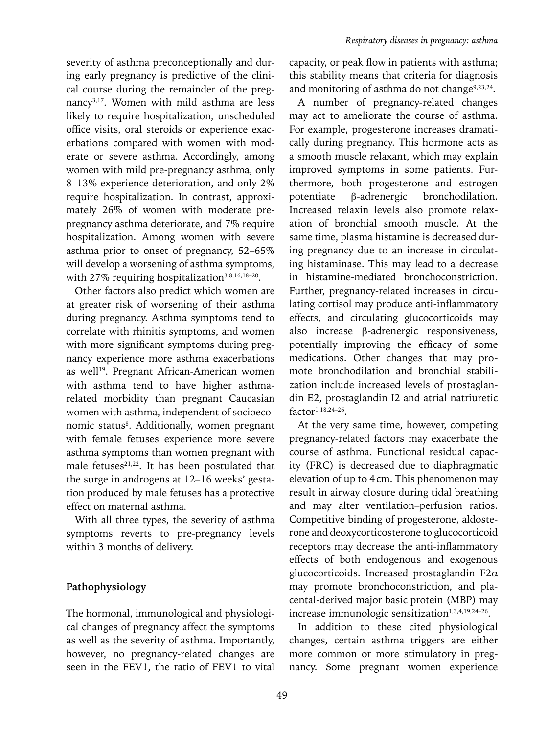severity of asthma preconceptionally and during early pregnancy is predictive of the clinical course during the remainder of the pregnancy3,17. Women with mild asthma are less likely to require hospitalization, unscheduled office visits, oral steroids or experience exacerbations compared with women with moderate or severe asthma. Accordingly, among women with mild pre-pregnancy asthma, only 8–13% experience deterioration, and only 2% require hospitalization. In contrast, approximately 26% of women with moderate prepregnancy asthma deteriorate, and 7% require hospitalization. Among women with severe asthma prior to onset of pregnancy, 52–65% will develop a worsening of asthma symptoms, with 27% requiring hospitalization<sup>3,8,16,18-20</sup>.

Other factors also predict which women are at greater risk of worsening of their asthma during pregnancy. Asthma symptoms tend to correlate with rhinitis symptoms, and women with more significant symptoms during pregnancy experience more asthma exacerbations as well<sup>19</sup>. Pregnant African-American women with asthma tend to have higher asthmarelated morbidity than pregnant Caucasian women with asthma, independent of socioeconomic status<sup>8</sup>. Additionally, women pregnant with female fetuses experience more severe asthma symptoms than women pregnant with male fetuses $21,22$ . It has been postulated that the surge in androgens at 12–16 weeks' gestation produced by male fetuses has a protective effect on maternal asthma.

With all three types, the severity of asthma symptoms reverts to pre-pregnancy levels within 3 months of delivery.

## **Pathophysiology**

The hormonal, immunological and physiological changes of pregnancy affect the symptoms as well as the severity of asthma. Importantly, however, no pregnancy-related changes are seen in the FEV1, the ratio of FEV1 to vital

capacity, or peak flow in patients with asthma; this stability means that criteria for diagnosis and monitoring of asthma do not change<sup>9,23,24</sup>.

A number of pregnancy-related changes may act to ameliorate the course of asthma. For example, progesterone increases dramatically during pregnancy. This hormone acts as a smooth muscle relaxant, which may explain improved symptoms in some patients. Furthermore, both progesterone and estrogen potentiate  $\beta$ -adrenergic bronchodilation. Increased relaxin levels also promote relaxation of bronchial smooth muscle. At the same time, plasma histamine is decreased during pregnancy due to an increase in circulating histaminase. This may lead to a decrease in histamine-mediated bronchoconstriction. Further, pregnancy-related increases in circulating cortisol may produce anti-inflammatory effects, and circulating glucocorticoids may also increase  $\beta$ -adrenergic responsiveness, potentially improving the efficacy of some medications. Other changes that may promote bronchodilation and bronchial stabilization include increased levels of prostaglandin E2, prostaglandin I2 and atrial natriuretic  $factor<sup>1,18,24-26</sup>$ 

At the very same time, however, competing pregnancy-related factors may exacerbate the course of asthma. Functional residual capacity (FRC) is decreased due to diaphragmatic elevation of up to 4cm. This phenomenon may result in airway closure during tidal breathing and may alter ventilation–perfusion ratios. Competitive binding of progesterone, aldosterone and deoxycorticosterone to glucocorticoid receptors may decrease the anti-inflammatory effects of both endogenous and exogenous glucocorticoids. Increased prostaglandin F2 $\alpha$ may promote bronchoconstriction, and placental-derived major basic protein (MBP) may increase immunologic sensitization<sup>1,3,4,19,24-26</sup>.

In addition to these cited physiological changes, certain asthma triggers are either more common or more stimulatory in pregnancy. Some pregnant women experience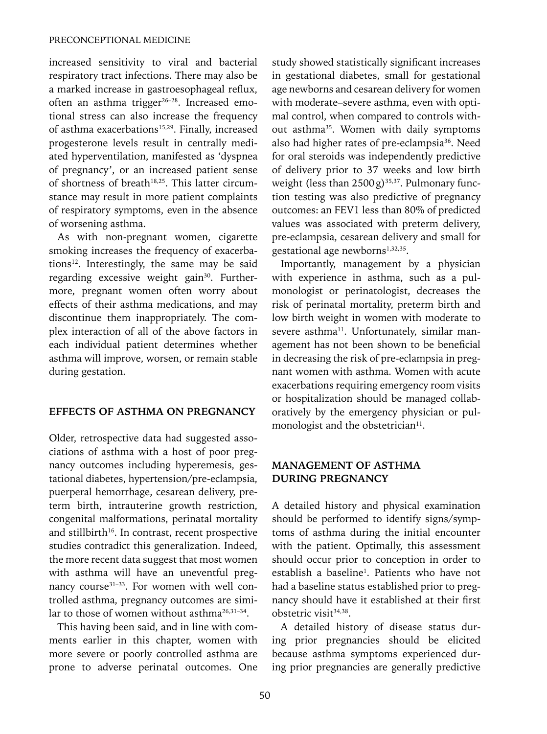increased sensitivity to viral and bacterial respiratory tract infections. There may also be a marked increase in gastroesophageal reflux, often an asthma trigger<sup>26-28</sup>. Increased emotional stress can also increase the frequency of asthma exacerbations<sup>15,29</sup>. Finally, increased progesterone levels result in centrally mediated hyperventilation, manifested as 'dyspnea of pregnancy', or an increased patient sense of shortness of breath<sup>18,25</sup>. This latter circumstance may result in more patient complaints of respiratory symptoms, even in the absence of worsening asthma.

As with non-pregnant women, cigarette smoking increases the frequency of exacerbations<sup>12</sup>. Interestingly, the same may be said regarding excessive weight gain<sup>30</sup>. Furthermore, pregnant women often worry about effects of their asthma medications, and may discontinue them inappropriately. The complex interaction of all of the above factors in each individual patient determines whether asthma will improve, worsen, or remain stable during gestation.

#### **EFFECTS OF ASTHMA ON PREGNANCY**

Older, retrospective data had suggested associations of asthma with a host of poor pregnancy outcomes including hyperemesis, gestational diabetes, hypertension/pre-eclampsia, puerperal hemorrhage, cesarean delivery, preterm birth, intrauterine growth restriction, congenital malformations, perinatal mortality and stillbirth<sup>16</sup>. In contrast, recent prospective studies contradict this generalization. Indeed, the more recent data suggest that most women with asthma will have an uneventful pregnancy course<sup>31-33</sup>. For women with well controlled asthma, pregnancy outcomes are similar to those of women without asthma<sup>26,31-34</sup>.

This having been said, and in line with comments earlier in this chapter, women with more severe or poorly controlled asthma are prone to adverse perinatal outcomes. One study showed statistically significant increases in gestational diabetes, small for gestational age newborns and cesarean delivery for women with moderate–severe asthma, even with optimal control, when compared to controls without asthma<sup>35</sup>. Women with daily symptoms also had higher rates of pre-eclampsia<sup>36</sup>. Need for oral steroids was independently predictive of delivery prior to 37 weeks and low birth weight (less than  $2500g$ )<sup>35,37</sup>. Pulmonary function testing was also predictive of pregnancy outcomes: an FEV1 less than 80% of predicted values was associated with preterm delivery, pre-eclampsia, cesarean delivery and small for gestational age newborns<sup>1,32,35</sup>.

Importantly, management by a physician with experience in asthma, such as a pulmonologist or perinatologist, decreases the risk of perinatal mortality, preterm birth and low birth weight in women with moderate to severe asthma<sup>11</sup>. Unfortunately, similar management has not been shown to be beneficial in decreasing the risk of pre-eclampsia in pregnant women with asthma. Women with acute exacerbations requiring emergency room visits or hospitalization should be managed collaboratively by the emergency physician or pulmonologist and the obstetrician<sup>11</sup>.

# **MANAGEMENT OF ASTHMA DURING PREGNANCY**

A detailed history and physical examination should be performed to identify signs/symptoms of asthma during the initial encounter with the patient. Optimally, this assessment should occur prior to conception in order to establish a baseline<sup>1</sup>. Patients who have not had a baseline status established prior to pregnancy should have it established at their first obstetric visit<sup>34,38</sup>.

A detailed history of disease status during prior pregnancies should be elicited because asthma symptoms experienced during prior pregnancies are generally predictive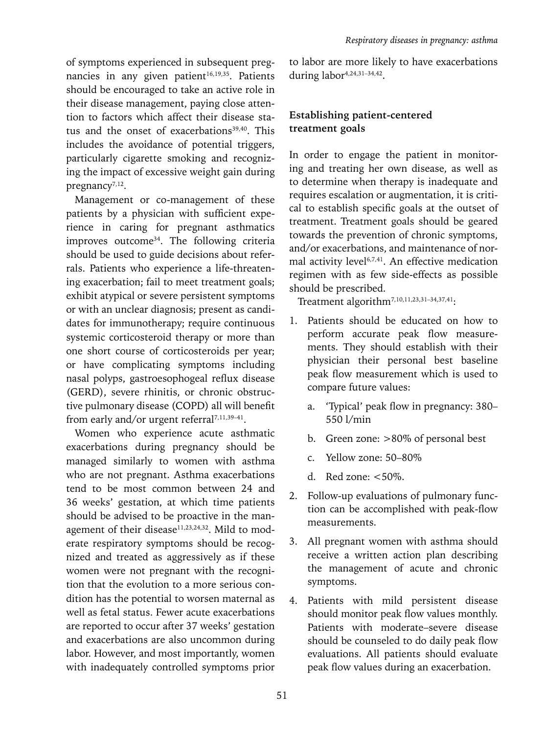of symptoms experienced in subsequent pregnancies in any given patient<sup>16,19,35</sup>. Patients should be encouraged to take an active role in their disease management, paying close attention to factors which affect their disease status and the onset of exacerbations<sup>39,40</sup>. This includes the avoidance of potential triggers, particularly cigarette smoking and recognizing the impact of excessive weight gain during pregnancy<sup>7,12</sup>.

Management or co-management of these patients by a physician with sufficient experience in caring for pregnant asthmatics improves outcome<sup>34</sup>. The following criteria should be used to guide decisions about referrals. Patients who experience a life-threatening exacerbation; fail to meet treatment goals; exhibit atypical or severe persistent symptoms or with an unclear diagnosis; present as candidates for immunotherapy; require continuous systemic corticosteroid therapy or more than one short course of corticosteroids per year; or have complicating symptoms including nasal polyps, gastroesophogeal reflux disease (GERD), severe rhinitis, or chronic obstructive pulmonary disease (COPD) all will benefit from early and/or urgent referral<sup>7,11,39-41</sup>.

Women who experience acute asthmatic exacerbations during pregnancy should be managed similarly to women with asthma who are not pregnant. Asthma exacerbations tend to be most common between 24 and 36 weeks' gestation, at which time patients should be advised to be proactive in the management of their disease<sup>11,23,24,32</sup>. Mild to moderate respiratory symptoms should be recognized and treated as aggressively as if these women were not pregnant with the recognition that the evolution to a more serious condition has the potential to worsen maternal as well as fetal status. Fewer acute exacerbations are reported to occur after 37 weeks' gestation and exacerbations are also uncommon during labor. However, and most importantly, women with inadequately controlled symptoms prior

to labor are more likely to have exacerbations during labor<sup>4,24,31-34,42</sup>.

# **Establishing patient-centered treatment goals**

In order to engage the patient in monitoring and treating her own disease, as well as to determine when therapy is inadequate and requires escalation or augmentation, it is critical to establish specific goals at the outset of treatment. Treatment goals should be geared towards the prevention of chronic symptoms, and/or exacerbations, and maintenance of normal activity level $6,7,41$ . An effective medication regimen with as few side-effects as possible should be prescribed.

Treatment algorithm<sup>7,10,11,23,31-34,37,41</sup>:

- 1. Patients should be educated on how to perform accurate peak flow measurements. They should establish with their physician their personal best baseline peak flow measurement which is used to compare future values:
	- a. 'Typical' peak flow in pregnancy: 380– 550 l/min
	- b. Green zone: >80% of personal best
	- c. Yellow zone: 50–80%
	- d. Red zone: <50%.
- 2. Follow-up evaluations of pulmonary function can be accomplished with peak-flow measurements.
- 3. All pregnant women with asthma should receive a written action plan describing the management of acute and chronic symptoms.
- 4. Patients with mild persistent disease should monitor peak flow values monthly. Patients with moderate–severe disease should be counseled to do daily peak flow evaluations. All patients should evaluate peak flow values during an exacerbation.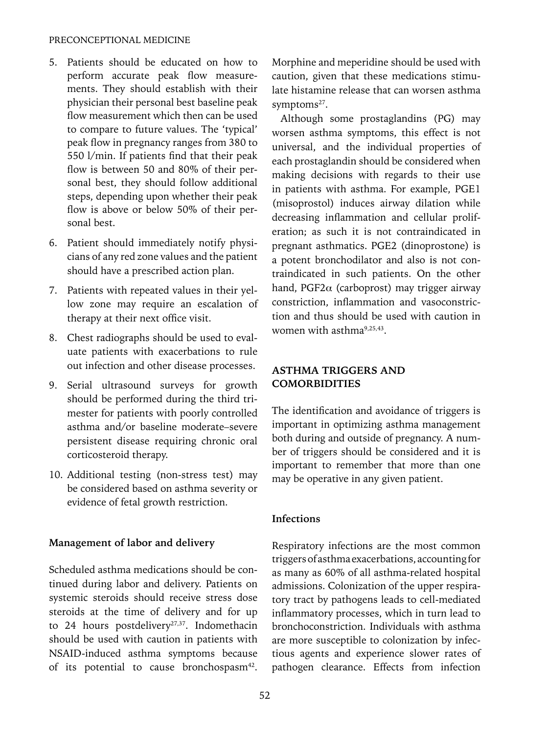#### PRECONCEPTIONAL MEDICINE

- 5. Patients should be educated on how to perform accurate peak flow measurements. They should establish with their physician their personal best baseline peak flow measurement which then can be used to compare to future values. The 'typical' peak flow in pregnancy ranges from 380 to 550 l/min. If patients find that their peak flow is between 50 and 80% of their personal best, they should follow additional steps, depending upon whether their peak flow is above or below 50% of their personal best.
- 6. Patient should immediately notify physicians of any red zone values and the patient should have a prescribed action plan.
- 7. Patients with repeated values in their yellow zone may require an escalation of therapy at their next office visit.
- 8. Chest radiographs should be used to evaluate patients with exacerbations to rule out infection and other disease processes.
- 9. Serial ultrasound surveys for growth should be performed during the third trimester for patients with poorly controlled asthma and/or baseline moderate–severe persistent disease requiring chronic oral corticosteroid therapy.
- 10. Additional testing (non-stress test) may be considered based on asthma severity or evidence of fetal growth restriction.

## **Management of labor and delivery**

Scheduled asthma medications should be continued during labor and delivery. Patients on systemic steroids should receive stress dose steroids at the time of delivery and for up to 24 hours postdelivery<sup>27,37</sup>. Indomethacin should be used with caution in patients with NSAID-induced asthma symptoms because of its potential to cause bronchospasm $42$ .

Morphine and meperidine should be used with caution, given that these medications stimulate histamine release that can worsen asthma symptoms<sup>27</sup>.

Although some prostaglandins (PG) may worsen asthma symptoms, this effect is not universal, and the individual properties of each prostaglandin should be considered when making decisions with regards to their use in patients with asthma. For example, PGE1 (misoprostol) induces airway dilation while decreasing inflammation and cellular proliferation; as such it is not contraindicated in pregnant asthmatics. PGE2 (dinoprostone) is a potent bronchodilator and also is not contraindicated in such patients. On the other hand, PGF2 $\alpha$  (carboprost) may trigger airway constriction, inflammation and vasoconstriction and thus should be used with caution in women with asthma<sup>9,25,43</sup>.

# **ASTHMA TRIGGERS AND COMORBIDITIES**

The identification and avoidance of triggers is important in optimizing asthma management both during and outside of pregnancy. A number of triggers should be considered and it is important to remember that more than one may be operative in any given patient.

#### **Infections**

Respiratory infections are the most common triggers of asthma exacerbations, accounting for as many as 60% of all asthma-related hospital admissions. Colonization of the upper respiratory tract by pathogens leads to cell-mediated inflammatory processes, which in turn lead to bronchoconstriction. Individuals with asthma are more susceptible to colonization by infectious agents and experience slower rates of pathogen clearance. Effects from infection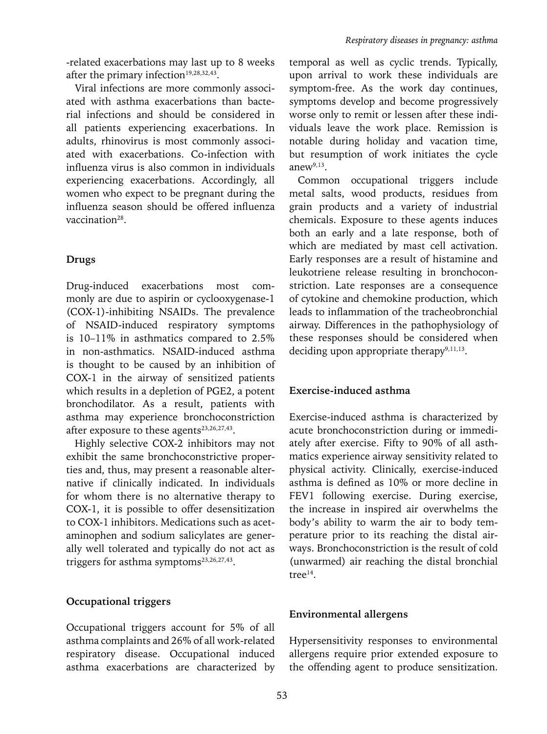-related exacerbations may last up to 8 weeks after the primary infection $19,28,32,43$ .

Viral infections are more commonly associated with asthma exacerbations than bacterial infections and should be considered in all patients experiencing exacerbations. In adults, rhinovirus is most commonly associated with exacerbations. Co-infection with influenza virus is also common in individuals experiencing exacerbations. Accordingly, all women who expect to be pregnant during the influenza season should be offered influenza vaccination28.

# **Drugs**

Drug-induced exacerbations most commonly are due to aspirin or cyclooxygenase-1 (COX-1)-inhibiting NSAIDs. The prevalence of NSAID-induced respiratory symptoms is 10–11% in asthmatics compared to 2.5% in non-asthmatics. NSAID-induced asthma is thought to be caused by an inhibition of COX-1 in the airway of sensitized patients which results in a depletion of PGE2, a potent bronchodilator. As a result, patients with asthma may experience bronchoconstriction after exposure to these agents $23,26,27,43$ .

Highly selective COX-2 inhibitors may not exhibit the same bronchoconstrictive properties and, thus, may present a reasonable alternative if clinically indicated. In individuals for whom there is no alternative therapy to COX-1, it is possible to offer desensitization to COX-1 inhibitors. Medications such as acetaminophen and sodium salicylates are generally well tolerated and typically do not act as triggers for asthma symptoms $23,26,27,43$ .

## **Occupational triggers**

Occupational triggers account for 5% of all asthma complaints and 26% of all work-related respiratory disease. Occupational induced asthma exacerbations are characterized by temporal as well as cyclic trends. Typically, upon arrival to work these individuals are symptom-free. As the work day continues, symptoms develop and become progressively worse only to remit or lessen after these individuals leave the work place. Remission is notable during holiday and vacation time, but resumption of work initiates the cycle anew $9,13$ .

Common occupational triggers include metal salts, wood products, residues from grain products and a variety of industrial chemicals. Exposure to these agents induces both an early and a late response, both of which are mediated by mast cell activation. Early responses are a result of histamine and leukotriene release resulting in bronchoconstriction. Late responses are a consequence of cytokine and chemokine production, which leads to inflammation of the tracheobronchial airway. Differences in the pathophysiology of these responses should be considered when deciding upon appropriate therapy $9,11,13$ .

## **Exercise-induced asthma**

Exercise-induced asthma is characterized by acute bronchoconstriction during or immediately after exercise. Fifty to 90% of all asthmatics experience airway sensitivity related to physical activity. Clinically, exercise-induced asthma is defined as 10% or more decline in FEV1 following exercise. During exercise, the increase in inspired air overwhelms the body's ability to warm the air to body temperature prior to its reaching the distal airways. Bronchoconstriction is the result of cold (unwarmed) air reaching the distal bronchial tree14.

## **Environmental allergens**

Hypersensitivity responses to environmental allergens require prior extended exposure to the offending agent to produce sensitization.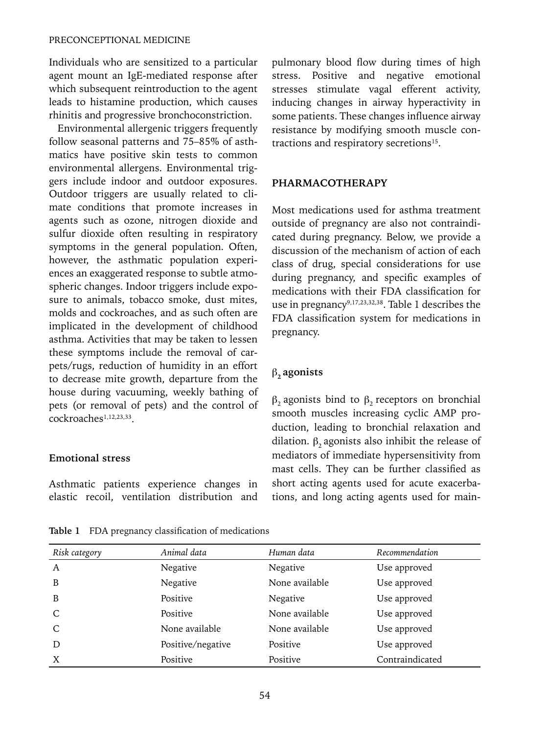#### PRECONCEPTIONAL MEDICINE

Individuals who are sensitized to a particular agent mount an IgE-mediated response after which subsequent reintroduction to the agent leads to histamine production, which causes rhinitis and progressive bronchoconstriction.

Environmental allergenic triggers frequently follow seasonal patterns and 75–85% of asthmatics have positive skin tests to common environmental allergens. Environmental triggers include indoor and outdoor exposures. Outdoor triggers are usually related to climate conditions that promote increases in agents such as ozone, nitrogen dioxide and sulfur dioxide often resulting in respiratory symptoms in the general population. Often, however, the asthmatic population experiences an exaggerated response to subtle atmospheric changes. Indoor triggers include exposure to animals, tobacco smoke, dust mites, molds and cockroaches, and as such often are implicated in the development of childhood asthma. Activities that may be taken to lessen these symptoms include the removal of carpets/rugs, reduction of humidity in an effort to decrease mite growth, departure from the house during vacuuming, weekly bathing of pets (or removal of pets) and the control of cockroaches<sup>1,12,23,33</sup>.

#### **Emotional stress**

Asthmatic patients experience changes in elastic recoil, ventilation distribution and pulmonary blood flow during times of high stress. Positive and negative emotional stresses stimulate vagal efferent activity, inducing changes in airway hyperactivity in some patients. These changes influence airway resistance by modifying smooth muscle contractions and respiratory secretions<sup>15</sup>.

## **PHARMACOTHERAPY**

Most medications used for asthma treatment outside of pregnancy are also not contraindicated during pregnancy. Below, we provide a discussion of the mechanism of action of each class of drug, special considerations for use during pregnancy, and specific examples of medications with their FDA classification for use in pregnancy<sup>9,17,23,32,38</sup>. Table 1 describes the FDA classification system for medications in pregnancy.

# β**2 agonists**

 $β$ <sub>2</sub> agonists bind to  $β$ <sub>2</sub> receptors on bronchial smooth muscles increasing cyclic AMP production, leading to bronchial relaxation and dilation.  $β$ , agonists also inhibit the release of mediators of immediate hypersensitivity from mast cells. They can be further classified as short acting agents used for acute exacerbations, and long acting agents used for main-

| Risk category | Animal data       | Human data     | Recommendation  |
|---------------|-------------------|----------------|-----------------|
| A             | Negative          | Negative       | Use approved    |
| B             | Negative          | None available | Use approved    |
| B             | Positive          | Negative       | Use approved    |
|               | Positive          | None available | Use approved    |
|               | None available    | None available | Use approved    |
| D             | Positive/negative | Positive       | Use approved    |
| X             | Positive          | Positive       | Contraindicated |

**Table 1** FDA pregnancy classification of medications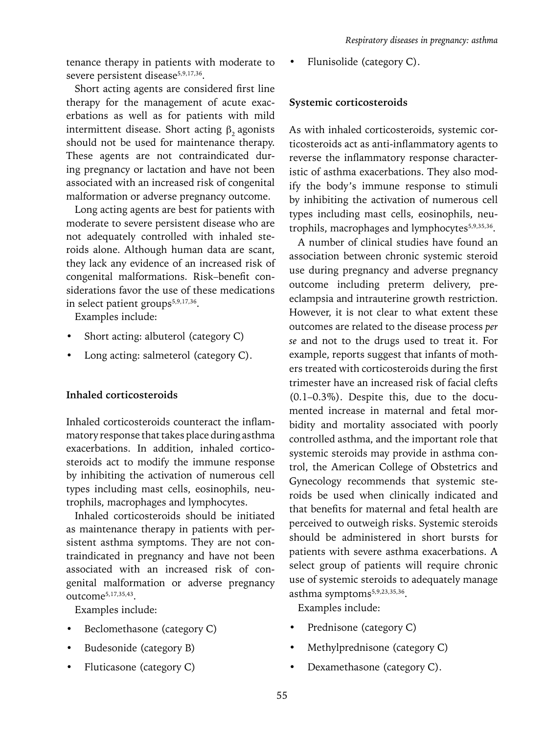tenance therapy in patients with moderate to severe persistent disease<sup>5,9,17,36</sup>.

Short acting agents are considered first line therapy for the management of acute exacerbations as well as for patients with mild intermittent disease. Short acting  $β$ , agonists should not be used for maintenance therapy. These agents are not contraindicated during pregnancy or lactation and have not been associated with an increased risk of congenital malformation or adverse pregnancy outcome.

Long acting agents are best for patients with moderate to severe persistent disease who are not adequately controlled with inhaled steroids alone. Although human data are scant, they lack any evidence of an increased risk of congenital malformations. Risk–benefit considerations favor the use of these medications in select patient groups<sup>5,9,17,36</sup>.

Examples include:

- Short acting: albuterol (category C)
- Long acting: salmeterol (category C).

## **Inhaled corticosteroids**

Inhaled corticosteroids counteract the inflammatory response that takes place during asthma exacerbations. In addition, inhaled corticosteroids act to modify the immune response by inhibiting the activation of numerous cell types including mast cells, eosinophils, neutrophils, macrophages and lymphocytes.

Inhaled corticosteroids should be initiated as maintenance therapy in patients with persistent asthma symptoms. They are not contraindicated in pregnancy and have not been associated with an increased risk of congenital malformation or adverse pregnancy outcome5,17,35,43.

Examples include:

- Beclomethasone (category C)
- Budesonide (category B)
- Fluticasone (category C)

• Flunisolide (category C).

#### **Systemic corticosteroids**

As with inhaled corticosteroids, systemic corticosteroids act as anti-inflammatory agents to reverse the inflammatory response characteristic of asthma exacerbations. They also modify the body's immune response to stimuli by inhibiting the activation of numerous cell types including mast cells, eosinophils, neutrophils, macrophages and lymphocytes<sup>5,9,35,36</sup>.

A number of clinical studies have found an association between chronic systemic steroid use during pregnancy and adverse pregnancy outcome including preterm delivery, preeclampsia and intrauterine growth restriction. However, it is not clear to what extent these outcomes are related to the disease process *per se* and not to the drugs used to treat it. For example, reports suggest that infants of mothers treated with corticosteroids during the first trimester have an increased risk of facial clefts (0.1–0.3%). Despite this, due to the documented increase in maternal and fetal morbidity and mortality associated with poorly controlled asthma, and the important role that systemic steroids may provide in asthma control, the American College of Obstetrics and Gynecology recommends that systemic steroids be used when clinically indicated and that benefits for maternal and fetal health are perceived to outweigh risks. Systemic steroids should be administered in short bursts for patients with severe asthma exacerbations. A select group of patients will require chronic use of systemic steroids to adequately manage asthma symptoms<sup>5,9,23,35,36</sup>.

Examples include:

- Prednisone (category C)
- Methylprednisone (category C)
- Dexamethasone (category C).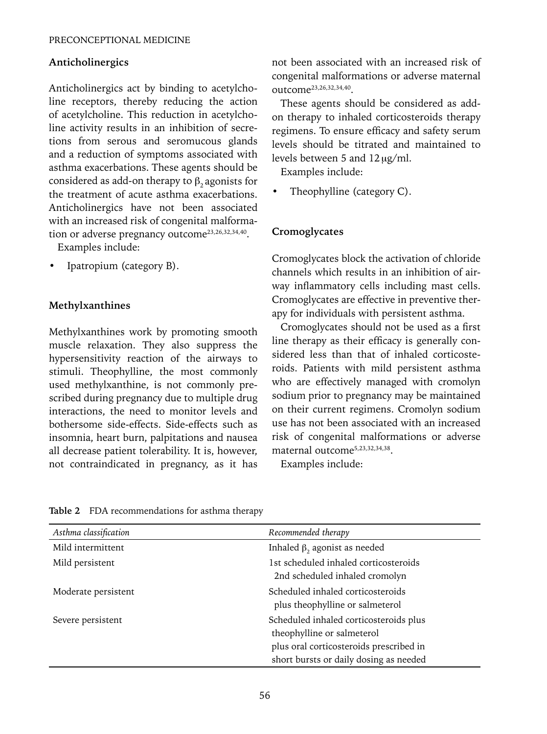### **Anticholinergics**

Anticholinergics act by binding to acetylcholine receptors, thereby reducing the action of acetylcholine. This reduction in acetylcholine activity results in an inhibition of secretions from serous and seromucous glands and a reduction of symptoms associated with asthma exacerbations. These agents should be considered as add-on therapy to  $\beta$ , agonists for the treatment of acute asthma exacerbations. Anticholinergics have not been associated with an increased risk of congenital malformation or adverse pregnancy outcome<sup>23,26,32,34,40</sup>.

Examples include:

• Ipatropium (category B).

#### **Methylxanthines**

Methylxanthines work by promoting smooth muscle relaxation. They also suppress the hypersensitivity reaction of the airways to stimuli. Theophylline, the most commonly used methylxanthine, is not commonly prescribed during pregnancy due to multiple drug interactions, the need to monitor levels and bothersome side-effects. Side-effects such as insomnia, heart burn, palpitations and nausea all decrease patient tolerability. It is, however, not contraindicated in pregnancy, as it has not been associated with an increased risk of congenital malformations or adverse maternal outcome23,26,32,34,40.

These agents should be considered as addon therapy to inhaled corticosteroids therapy regimens. To ensure efficacy and safety serum levels should be titrated and maintained to levels between 5 and 12μg/ml.

Examples include:

Theophylline (category C).

#### **Cromoglycates**

Cromoglycates block the activation of chloride channels which results in an inhibition of airway inflammatory cells including mast cells. Cromoglycates are effective in preventive therapy for individuals with persistent asthma.

Cromoglycates should not be used as a first line therapy as their efficacy is generally considered less than that of inhaled corticosteroids. Patients with mild persistent asthma who are effectively managed with cromolyn sodium prior to pregnancy may be maintained on their current regimens. Cromolyn sodium use has not been associated with an increased risk of congenital malformations or adverse maternal outcome5,23,32,34,38.

Examples include:

| Asthma classification | Recommended therapy                                                  |  |
|-----------------------|----------------------------------------------------------------------|--|
| Mild intermittent     | Inhaled $\beta$ , agonist as needed                                  |  |
| Mild persistent       | 1st scheduled inhaled corticosteroids                                |  |
|                       | 2nd scheduled inhaled cromolyn                                       |  |
| Moderate persistent   | Scheduled inhaled corticosteroids<br>plus theophylline or salmeterol |  |
| Severe persistent     | Scheduled inhaled corticosteroids plus<br>theophylline or salmeterol |  |
|                       | plus oral corticosteroids prescribed in                              |  |
|                       | short bursts or daily dosing as needed                               |  |

**Table 2** FDA recommendations for asthma therapy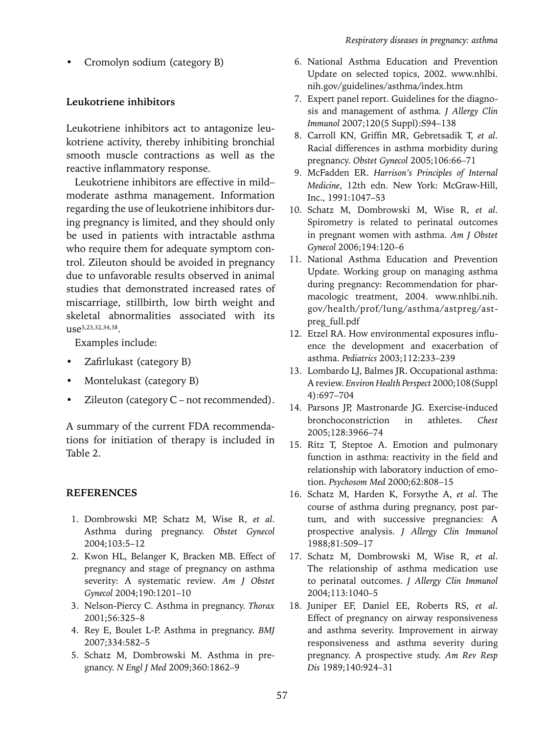• Cromolyn sodium (category B)

#### **Leukotriene inhibitors**

Leukotriene inhibitors act to antagonize leukotriene activity, thereby inhibiting bronchial smooth muscle contractions as well as the reactive inflammatory response.

Leukotriene inhibitors are effective in mild– moderate asthma management. Information regarding the use of leukotriene inhibitors during pregnancy is limited, and they should only be used in patients with intractable asthma who require them for adequate symptom control. Zileuton should be avoided in pregnancy due to unfavorable results observed in animal studies that demonstrated increased rates of miscarriage, stillbirth, low birth weight and skeletal abnormalities associated with its use<sup>5,23,32,34,38</sup>.

Examples include:

- Zafirlukast (category B)
- Montelukast (category B)
- Zileuton (category C not recommended).

A summary of the current FDA recommendations for initiation of therapy is included in Table 2.

#### **References**

- 1. Dombrowski MP, Schatz M, Wise R, *et al*. Asthma during pregnancy. *Obstet Gynecol*  2004;103:5–12
- 2. Kwon HL, Belanger K, Bracken MB. Effect of pregnancy and stage of pregnancy on asthma severity: A systematic review*. Am J Obstet Gynecol* 2004;190:1201–10
- 3. Nelson-Piercy C. Asthma in pregnancy. *Thorax* 2001;56:325–8
- 4. Rey E, Boulet L-P. Asthma in pregnancy. *BMJ* 2007;334:582–5
- 5. Schatz M, Dombrowski M. Asthma in pregnancy. *N Engl J Med* 2009;360:1862–9
- 6. National Asthma Education and Prevention Update on selected topics, 2002. www.nhlbi. nih.gov/guidelines/asthma/index.htm
- 7. Expert panel report. Guidelines for the diagnosis and management of asthma*. J Allergy Clin Immunol* 2007;120(5 Suppl):S94–138
- 8. Carroll KN, Griffin MR, Gebretsadik T, *et al*. Racial differences in asthma morbidity during pregnancy. *Obstet Gynecol* 2005;106:66–71
- 9. McFadden ER. *Harrison's Principles of Internal Medicine*, 12th edn. New York: McGraw-Hill, Inc., 1991:1047–53
- 10. Schatz M, Dombrowski M, Wise R, *et al*. Spirometry is related to perinatal outcomes in pregnant women with asthma. *Am J Obstet Gynecol* 2006;194:120–6
- 11. National Asthma Education and Prevention Update. Working group on managing asthma during pregnancy: Recommendation for pharmacologic treatment, 2004. www.nhlbi.nih. gov/health/prof/lung/asthma/astpreg/astpreg\_full.pdf
- 12. Etzel RA. How environmental exposures influence the development and exacerbation of asthma. *Pediatrics* 2003;112:233–239
- 13. Lombardo LJ, Balmes JR. Occupational asthma: A review. *Environ Health Perspect* 2000;108(Suppl 4):697–704
- 14. Parsons JP, Mastronarde JG. Exercise-induced bronchoconstriction in athletes. *Chest* 2005;128:3966–74
- 15. Ritz T, Steptoe A. Emotion and pulmonary function in asthma: reactivity in the field and relationship with laboratory induction of emotion. *Psychosom Med* 2000;62:808–15
- 16. Schatz M, Harden K, Forsythe A, *et al*. The course of asthma during pregnancy, post partum, and with successive pregnancies: A prospective analysis. *J Allergy Clin Immunol* 1988;81:509–17
- 17. Schatz M, Dombrowski M, Wise R, *et al*. The relationship of asthma medication use to perinatal outcomes. *J Allergy Clin Immunol* 2004;113:1040–5
- 18. Juniper EF, Daniel EE, Roberts RS, *et al*. Effect of pregnancy on airway responsiveness and asthma severity. Improvement in airway responsiveness and asthma severity during pregnancy. A prospective study. *Am Rev Resp Dis* 1989;140:924–31